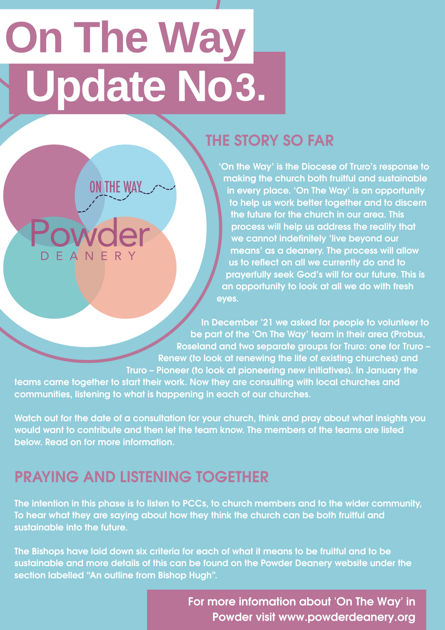# **On The Way** Update No3.

**ON THE WAY** 

Powc

EANE

# **THE STORY SO FAR**

**'On the Way' is the Diocese of Truro's response to making the church both fruitful and sustainable in every place. 'On The Way' is an opportunity to help us work better together and to discern the future for the church in our area. This process will help us address the reality that we cannot indefinitely 'live beyond our means' as a deanery. The process will allow**  us to reflect on all we currently do and to **prayerfully seek God's will for our future. This is an opportunity to look at all we do with fresh eyes.** 

**In December '21 we asked for people to volunteer to be part of the 'On The Way' team in their area (Probus, Roseland and two separate groups for Truro: one for Truro – Renew (to look at renewing the life of existing churches) and Truro – Pioneer (to look at pioneering new initiatives). In January the** 

**teams came together to start their work. Now they are consulting with local churches and communities, listening to what is happening in each of our churches.** 

**Watch out for the date of a consultation for your church, think and pray about what insights you would want to contribute and then let the team know. The members of the teams are listed below. Read on for more information.**

## **PRAYING AND LISTENING TOGETHER**

**The intention in this phase is to listen to PCCs, to church members and to the wider community, To hear what they are saying about how they think the church can be both fruitful and sustainable into the future.** 

**The Bishops have laid down six criteria for each of what it means to be fruitful and to be sustainable and more details of this can be found on the Powder Deanery website under the section labelled "An outline from Bishop Hugh".**

> For more infomation about 'On The Way' in Powder visit www.powderdeanery.org